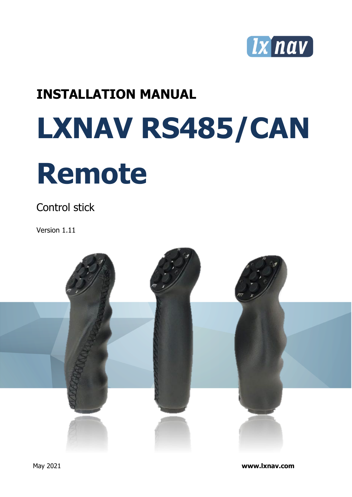

# **INSTALLATION MANUAL**

# **LXNAV RS485/CAN Remote**

Control stick

Version 1.11



May 2021 **www.lxnav.com**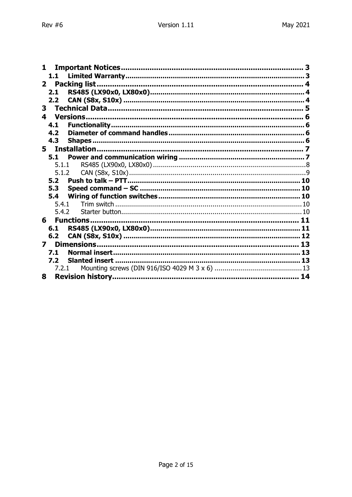| 1                       |    |
|-------------------------|----|
|                         |    |
|                         |    |
| 2.1                     |    |
| 2.2 <sub>2</sub>        |    |
| 3                       |    |
|                         |    |
| 4.1                     |    |
| 4.2                     |    |
| 4.3                     |    |
| 5                       |    |
| 5.1                     |    |
| 5.1.1                   |    |
| 5.1.2                   |    |
| 5.2                     |    |
| 5.3                     | 10 |
| 5.4                     |    |
| 5.4.1                   |    |
| 5.4.2                   |    |
| 6                       |    |
| 6.1                     |    |
| 6.2                     |    |
| $\overline{\mathbf{z}}$ |    |
| 7.1                     |    |
| 7.2                     |    |
| 7.2.1                   |    |
| 8                       | 14 |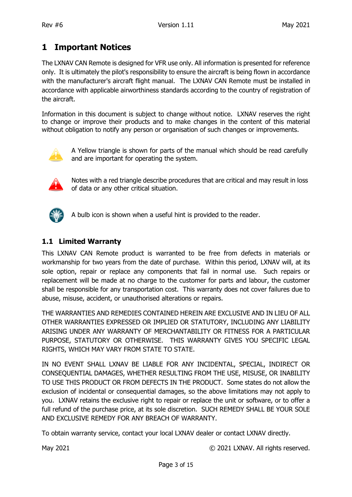# <span id="page-2-0"></span>**1 Important Notices**

The LXNAV CAN Remote is designed for VFR use only. All information is presented for reference only. It is ultimately the pilot's responsibility to ensure the aircraft is being flown in accordance with the manufacturer's aircraft flight manual. The LXNAV CAN Remote must be installed in accordance with applicable airworthiness standards according to the country of registration of the aircraft.

Information in this document is subject to change without notice. LXNAV reserves the right to change or improve their products and to make changes in the content of this material without obligation to notify any person or organisation of such changes or improvements.



A Yellow triangle is shown for parts of the manual which should be read carefully and are important for operating the system.



Notes with a red triangle describe procedures that are critical and may result in loss of data or any other critical situation.



A bulb icon is shown when a useful hint is provided to the reader.

#### <span id="page-2-1"></span>**1.1 Limited Warranty**

This LXNAV CAN Remote product is warranted to be free from defects in materials or workmanship for two years from the date of purchase. Within this period, LXNAV will, at its sole option, repair or replace any components that fail in normal use. Such repairs or replacement will be made at no charge to the customer for parts and labour, the customer shall be responsible for any transportation cost. This warranty does not cover failures due to abuse, misuse, accident, or unauthorised alterations or repairs.

THE WARRANTIES AND REMEDIES CONTAINED HEREIN ARE EXCLUSIVE AND IN LIEU OF ALL OTHER WARRANTIES EXPRESSED OR IMPLIED OR STATUTORY, INCLUDING ANY LIABILITY ARISING UNDER ANY WARRANTY OF MERCHANTABILITY OR FITNESS FOR A PARTICULAR PURPOSE, STATUTORY OR OTHERWISE. THIS WARRANTY GIVES YOU SPECIFIC LEGAL RIGHTS, WHICH MAY VARY FROM STATE TO STATE.

IN NO EVENT SHALL LXNAV BE LIABLE FOR ANY INCIDENTAL, SPECIAL, INDIRECT OR CONSEQUENTIAL DAMAGES, WHETHER RESULTING FROM THE USE, MISUSE, OR INABILITY TO USE THIS PRODUCT OR FROM DEFECTS IN THE PRODUCT. Some states do not allow the exclusion of incidental or consequential damages, so the above limitations may not apply to you. LXNAV retains the exclusive right to repair or replace the unit or software, or to offer a full refund of the purchase price, at its sole discretion. SUCH REMEDY SHALL BE YOUR SOLE AND EXCLUSIVE REMEDY FOR ANY BREACH OF WARRANTY.

To obtain warranty service, contact your local LXNAV dealer or contact LXNAV directly.

May 2021 May 2021 C 2021 LXNAV. All rights reserved.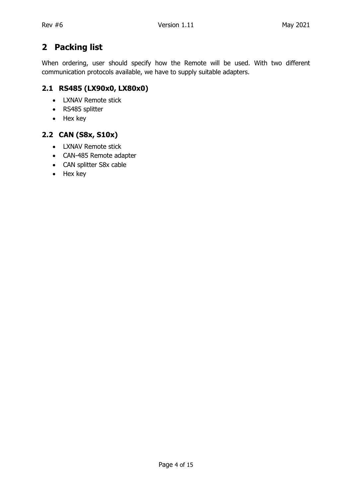# <span id="page-3-0"></span>**2 Packing list**

When ordering, user should specify how the Remote will be used. With two different communication protocols available, we have to supply suitable adapters.

#### <span id="page-3-1"></span>**2.1 RS485 (LX90x0, LX80x0)**

- LXNAV Remote stick
- RS485 splitter
- Hex key

#### <span id="page-3-2"></span>**2.2 CAN (S8x, S10x)**

- LXNAV Remote stick
- CAN-485 Remote adapter
- CAN splitter S8x cable
- Hex key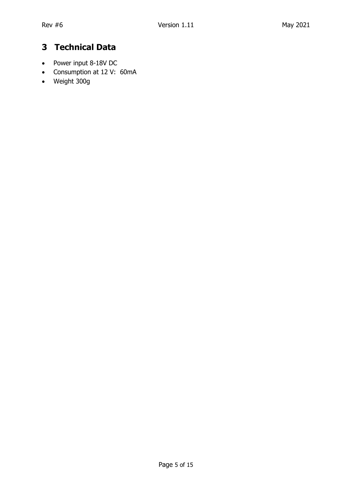# <span id="page-4-0"></span>**3 Technical Data**

- Power input 8-18V DC
- Consumption at 12 V: 60mA
- Weight 300g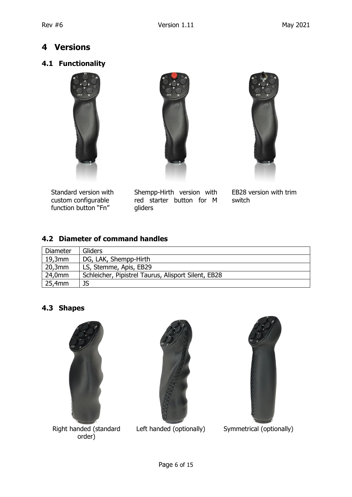# <span id="page-5-0"></span>**4 Versions**

#### <span id="page-5-1"></span>**4.1 Functionality**





 Standard version with custom configurable function button "Fn"

Shempp-Hirth version with red starter button for M gliders



 EB28 version with trim switch

#### <span id="page-5-2"></span>**4.2 Diameter of command handles**

| Diameter | <b>Gliders</b>                                      |  |  |
|----------|-----------------------------------------------------|--|--|
| 19,3mm   | DG, LAK, Shempp-Hirth                               |  |  |
| 20,3mm   | LS, Stemme, Apis, EB29                              |  |  |
| 24,0mm   | Schleicher, Pipistrel Taurus, Alisport Silent, EB28 |  |  |
| 25,4mm   | JS                                                  |  |  |

#### <span id="page-5-3"></span>**4.3 Shapes**



Right handed (standard order)





Left handed (optionally) Symmetrical (optionally)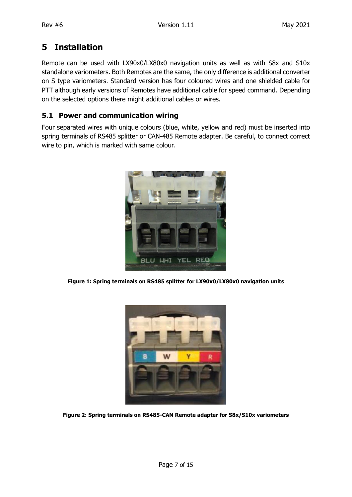# <span id="page-6-0"></span>**5 Installation**

Remote can be used with LX90x0/LX80x0 navigation units as well as with S8x and S10x standalone variometers. Both Remotes are the same, the only difference is additional converter on S type variometers. Standard version has four coloured wires and one shielded cable for PTT although early versions of Remotes have additional cable for speed command. Depending on the selected options there might additional cables or wires.

#### <span id="page-6-1"></span>**5.1 Power and communication wiring**

Four separated wires with unique colours (blue, white, yellow and red) must be inserted into spring terminals of RS485 splitter or CAN-485 Remote adapter. Be careful, to connect correct wire to pin, which is marked with same colour.



**Figure 1: Spring terminals on RS485 splitter for LX90x0/LX80x0 navigation units**



**Figure 2: Spring terminals on RS485-CAN Remote adapter for S8x/S10x variometers**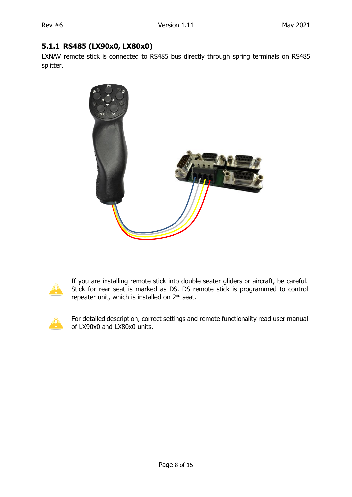#### <span id="page-7-0"></span>**5.1.1 RS485 (LX90x0, LX80x0)**

LXNAV remote stick is connected to RS485 bus directly through spring terminals on RS485 splitter.





If you are installing remote stick into double seater gliders or aircraft, be careful. Stick for rear seat is marked as DS. DS remote stick is programmed to control repeater unit, which is installed on 2<sup>nd</sup> seat.



For detailed description, correct settings and remote functionality read user manual of LX90x0 and LX80x0 units.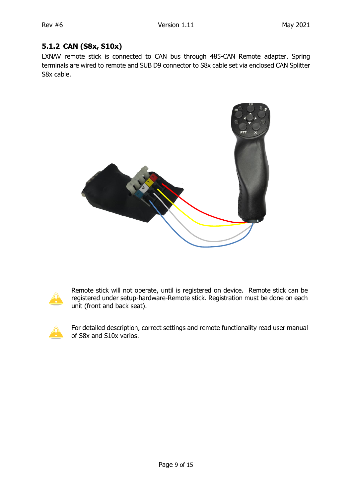#### <span id="page-8-0"></span>**5.1.2 CAN (S8x, S10x)**

LXNAV remote stick is connected to CAN bus through 485-CAN Remote adapter. Spring terminals are wired to remote and SUB D9 connector to S8x cable set via enclosed CAN Splitter S8x cable.





Remote stick will not operate, until is registered on device. Remote stick can be registered under setup-hardware-Remote stick. Registration must be done on each unit (front and back seat).



For detailed description, correct settings and remote functionality read user manual of S8x and S10x varios.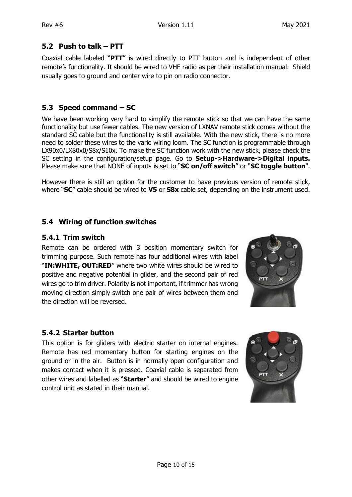#### <span id="page-9-0"></span>**5.2 Push to talk – PTT**

Coaxial cable labeled "**PTT**" is wired directly to PTT button and is independent of other remote's functionality. It should be wired to VHF radio as per their installation manual. Shield usually goes to ground and center wire to pin on radio connector.

#### <span id="page-9-1"></span>**5.3 Speed command – SC**

We have been working very hard to simplify the remote stick so that we can have the same functionality but use fewer cables. The new version of LXNAV remote stick comes without the standard SC cable but the functionality is still available. With the new stick, there is no more need to solder these wires to the vario wiring loom. The SC function is programmable through LX90x0/LX80x0/S8x/S10x. To make the SC function work with the new stick, please check the SC setting in the configuration/setup page. Go to **Setup->Hardware->Digital inputs.**  Please make sure that NONE of inputs is set to "**SC on/off switch**" or "**SC toggle button**".

However there is still an option for the customer to have previous version of remote stick, where "**SC**" cable should be wired to **V5** or **S8x** cable set, depending on the instrument used.

#### <span id="page-9-2"></span>**5.4 Wiring of function switches**

#### <span id="page-9-3"></span>**5.4.1 Trim switch**

Remote can be ordered with 3 position momentary switch for trimming purpose. Such remote has four additional wires with label "**IN:WHITE, OUT:RED**" where two white wires should be wired to positive and negative potential in glider, and the second pair of red wires go to trim driver. Polarity is not important, if trimmer has wrong moving direction simply switch one pair of wires between them and the direction will be reversed.



#### <span id="page-9-4"></span>**5.4.2 Starter button**

This option is for gliders with electric starter on internal engines. Remote has red momentary button for starting engines on the ground or in the air. Button is in normally open configuration and makes contact when it is pressed. Coaxial cable is separated from other wires and labelled as "**Starter**" and should be wired to engine control unit as stated in their manual.

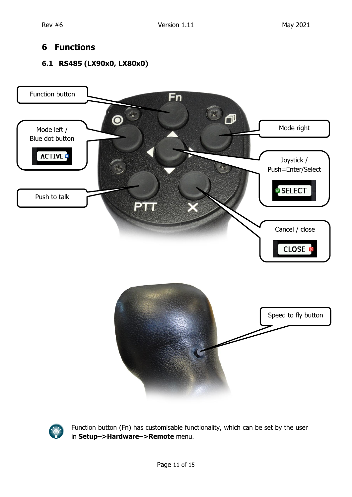# <span id="page-10-0"></span>**6 Functions**

#### <span id="page-10-1"></span>**6.1 RS485 (LX90x0, LX80x0)**





Function button (Fn) has customisable functionality, which can be set by the user in **Setup–>Hardware–>Remote** menu.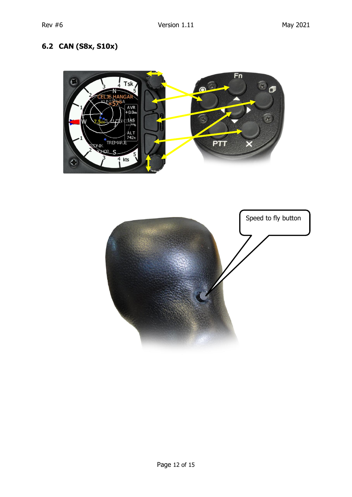# <span id="page-11-0"></span>**6.2 CAN (S8x, S10x)**



<span id="page-11-1"></span>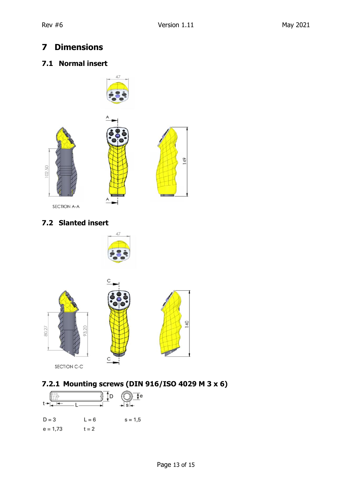# <span id="page-12-0"></span>**7 Dimensions**

#### <span id="page-12-1"></span>**7.1 Normal insert**



#### <span id="page-12-2"></span>**7.2 Slanted insert**





# <span id="page-12-3"></span>**7.2.1 Mounting screws (DIN 916/ISO 4029 M 3 x 6)**

| $D = 3$    | $L = 6$ | $s = 1,5$ |
|------------|---------|-----------|
| $e = 1,73$ | $t = 2$ |           |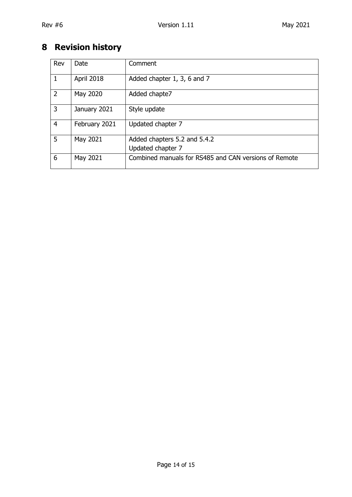# <span id="page-13-0"></span>**8 Revision history**

| Rev            | Date          | Comment                                               |
|----------------|---------------|-------------------------------------------------------|
| 1              | April 2018    | Added chapter 1, 3, 6 and 7                           |
| 2              | May 2020      | Added chapte7                                         |
| 3              | January 2021  | Style update                                          |
| $\overline{4}$ | February 2021 | Updated chapter 7                                     |
| 5              | May 2021      | Added chapters 5.2 and 5.4.2                          |
|                |               | Updated chapter 7                                     |
| 6              | May 2021      | Combined manuals for RS485 and CAN versions of Remote |